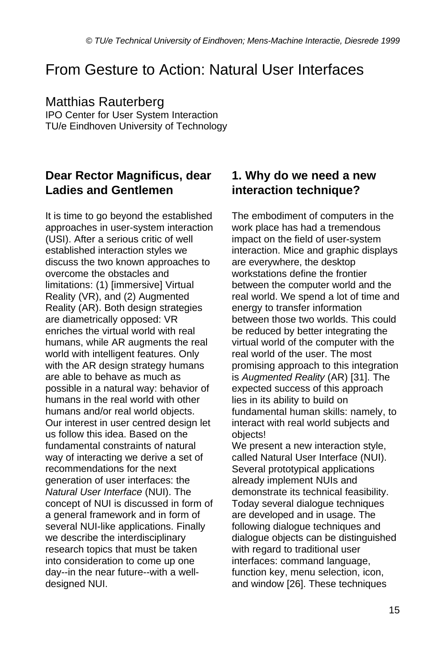# From Gesture to Action: Natural User Interfaces

#### Matthias Rauterberg

IPO Center for User System Interaction TU/e Eindhoven University of Technology

#### **Dear Rector Magnificus, dear Ladies and Gentlemen**

It is time to go beyond the established approaches in user-system interaction (USI). After a serious critic of well established interaction styles we discuss the two known approaches to overcome the obstacles and limitations: (1) [immersive] Virtual Reality (VR), and (2) Augmented Reality (AR). Both design strategies are diametrically opposed: VR enriches the virtual world with real humans, while AR augments the real world with intelligent features. Only with the AR design strategy humans are able to behave as much as possible in a natural way: behavior of humans in the real world with other humans and/or real world objects. Our interest in user centred design let us follow this idea. Based on the fundamental constraints of natural way of interacting we derive a set of recommendations for the next generation of user interfaces: the *Natural User Interface* (NUI). The concept of NUI is discussed in form of a general framework and in form of several NUI-like applications. Finally we describe the interdisciplinary research topics that must be taken into consideration to come up one day--in the near future--with a welldesigned NUI.

#### **1. Why do we need a new interaction technique?**

The embodiment of computers in the work place has had a tremendous impact on the field of user-system interaction. Mice and graphic displays are everywhere, the desktop workstations define the frontier between the computer world and the real world. We spend a lot of time and energy to transfer information between those two worlds. This could be reduced by better integrating the virtual world of the computer with the real world of the user. The most promising approach to this integration is *Augmented Reality* (AR) [31]. The expected success of this approach lies in its ability to build on fundamental human skills: namely, to interact with real world subjects and objects!

We present a new interaction style, called Natural User Interface (NUI). Several prototypical applications already implement NUIs and demonstrate its technical feasibility. Today several dialogue techniques are developed and in usage. The following dialogue techniques and dialogue objects can be distinguished with regard to traditional user interfaces: command language, function key, menu selection, icon, and window [26]. These techniques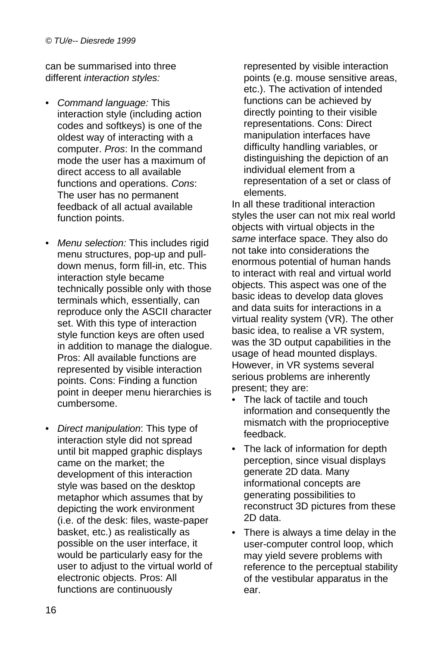can be summarised into three different *interaction styles:*

- *Command language:* This interaction style (including action codes and softkeys) is one of the oldest way of interacting with a computer. *Pros*: In the command mode the user has a maximum of direct access to all available functions and operations. *Cons*: The user has no permanent feedback of all actual available function points.
- *Menu selection:* This includes rigid menu structures, pop-up and pulldown menus, form fill-in, etc. This interaction style became technically possible only with those terminals which, essentially, can reproduce only the ASCII character set. With this type of interaction style function keys are often used in addition to manage the dialogue. Pros: All available functions are represented by visible interaction points. Cons: Finding a function point in deeper menu hierarchies is cumbersome.
- *Direct manipulation*: This type of interaction style did not spread until bit mapped graphic displays came on the market; the development of this interaction style was based on the desktop metaphor which assumes that by depicting the work environment (i.e. of the desk: files, waste-paper basket, etc.) as realistically as possible on the user interface, it would be particularly easy for the user to adjust to the virtual world of electronic objects. Pros: All functions are continuously

represented by visible interaction points (e.g. mouse sensitive areas, etc.). The activation of intended functions can be achieved by directly pointing to their visible representations. Cons: Direct manipulation interfaces have difficulty handling variables, or distinguishing the depiction of an individual element from a representation of a set or class of elements.

In all these traditional interaction styles the user can not mix real world objects with virtual objects in the *same* interface space. They also do not take into considerations the enormous potential of human hands to interact with real and virtual world objects. This aspect was one of the basic ideas to develop data gloves and data suits for interactions in a virtual reality system (VR). The other basic idea, to realise a VR system, was the 3D output capabilities in the usage of head mounted displays. However, in VR systems several serious problems are inherently present; they are:

- The lack of tactile and touch information and consequently the mismatch with the proprioceptive feedback.
- The lack of information for depth perception, since visual displays generate 2D data. Many informational concepts are generating possibilities to reconstruct 3D pictures from these 2D data.
- There is always a time delay in the user-computer control loop, which may yield severe problems with reference to the perceptual stability of the vestibular apparatus in the ear.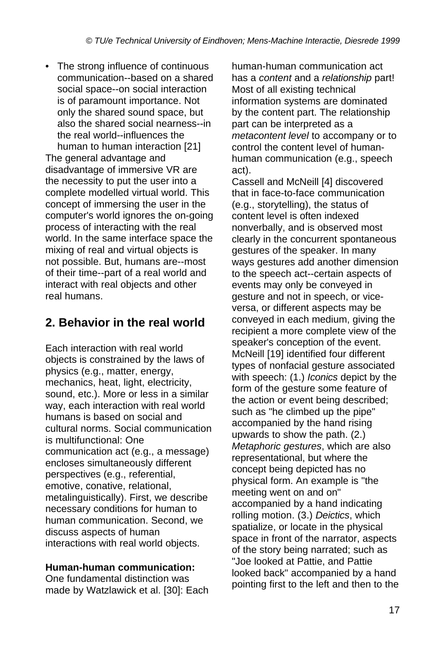• The strong influence of continuous communication--based on a shared social space--on social interaction is of paramount importance. Not only the shared sound space, but also the shared social nearness--in the real world--influences the human to human interaction [21]

The general advantage and disadvantage of immersive VR are the necessity to put the user into a complete modelled virtual world. This concept of immersing the user in the computer's world ignores the on-going process of interacting with the real world. In the same interface space the mixing of real and virtual objects is not possible. But, humans are--most of their time--part of a real world and interact with real objects and other real humans.

## **2. Behavior in the real world**

Each interaction with real world objects is constrained by the laws of physics (e.g., matter, energy, mechanics, heat, light, electricity, sound, etc.). More or less in a similar way, each interaction with real world humans is based on social and cultural norms. Social communication is multifunctional: One communication act (e.g., a message) encloses simultaneously different perspectives (e.g., referential, emotive, conative, relational, metalinguistically). First, we describe necessary conditions for human to human communication. Second, we discuss aspects of human interactions with real world objects.

#### **Human-human communication:**

One fundamental distinction was made by Watzlawick et al. [30]: Each human-human communication act has a *content* and a *relationship* part! Most of all existing technical information systems are dominated by the content part. The relationship part can be interpreted as a *metacontent level* to accompany or to control the content level of humanhuman communication (e.g., speech act).

Cassell and McNeill [4] discovered that in face-to-face communication (e.g., storytelling), the status of content level is often indexed nonverbally, and is observed most clearly in the concurrent spontaneous gestures of the speaker. In many ways gestures add another dimension to the speech act--certain aspects of events may only be conveyed in gesture and not in speech, or viceversa, or different aspects may be conveyed in each medium, giving the recipient a more complete view of the speaker's conception of the event. McNeill [19] identified four different types of nonfacial gesture associated with speech: (1.) *Iconics* depict by the form of the gesture some feature of the action or event being described; such as "he climbed up the pipe" accompanied by the hand rising upwards to show the path. (2.) *Metaphoric gestures*, which are also representational, but where the concept being depicted has no physical form. An example is "the meeting went on and on" accompanied by a hand indicating rolling motion. (3.) *Deictics*, which spatialize, or locate in the physical space in front of the narrator, aspects of the story being narrated; such as "Joe looked at Pattie, and Pattie looked back" accompanied by a hand pointing first to the left and then to the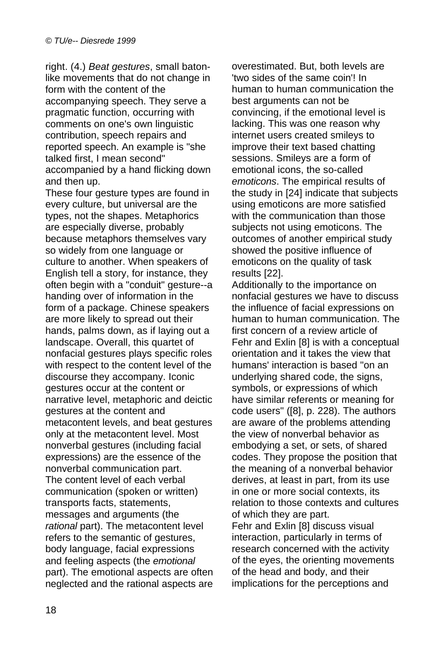right. (4.) *Beat gestures*, small batonlike movements that do not change in form with the content of the accompanying speech. They serve a pragmatic function, occurring with comments on one's own linguistic contribution, speech repairs and reported speech. An example is "she talked first, I mean second" accompanied by a hand flicking down and then up.

These four gesture types are found in every culture, but universal are the types, not the shapes. Metaphorics are especially diverse, probably because metaphors themselves vary so widely from one language or culture to another. When speakers of English tell a story, for instance, they often begin with a "conduit" gesture--a handing over of information in the form of a package. Chinese speakers are more likely to spread out their hands, palms down, as if laying out a landscape. Overall, this quartet of nonfacial gestures plays specific roles with respect to the content level of the discourse they accompany. Iconic gestures occur at the content or narrative level, metaphoric and deictic gestures at the content and metacontent levels, and beat gestures only at the metacontent level. Most nonverbal gestures (including facial expressions) are the essence of the nonverbal communication part. The content level of each verbal communication (spoken or written) transports facts, statements, messages and arguments (the *rational* part). The metacontent level refers to the semantic of gestures, body language, facial expressions and feeling aspects (the *emotional* part). The emotional aspects are often neglected and the rational aspects are overestimated. But, both levels are 'two sides of the same coin'! In human to human communication the best arguments can not be convincing, if the emotional level is lacking. This was one reason why internet users created smileys to improve their text based chatting sessions. Smileys are a form of emotional icons, the so-called *emoticons*. The empirical results of the study in [24] indicate that subjects using emoticons are more satisfied with the communication than those subjects not using emoticons. The outcomes of another empirical study showed the positive influence of emoticons on the quality of task results [22].

Additionally to the importance on nonfacial gestures we have to discuss the influence of facial expressions on human to human communication. The first concern of a review article of Fehr and Exlin [8] is with a conceptual orientation and it takes the view that humans' interaction is based "on an underlying shared code, the signs, symbols, or expressions of which have similar referents or meaning for code users" ([8], p. 228). The authors are aware of the problems attending the view of nonverbal behavior as embodying a set, or sets, of shared codes. They propose the position that the meaning of a nonverbal behavior derives, at least in part, from its use in one or more social contexts, its relation to those contexts and cultures of which they are part. Fehr and Exlin [8] discuss visual interaction, particularly in terms of research concerned with the activity of the eyes, the orienting movements of the head and body, and their

implications for the perceptions and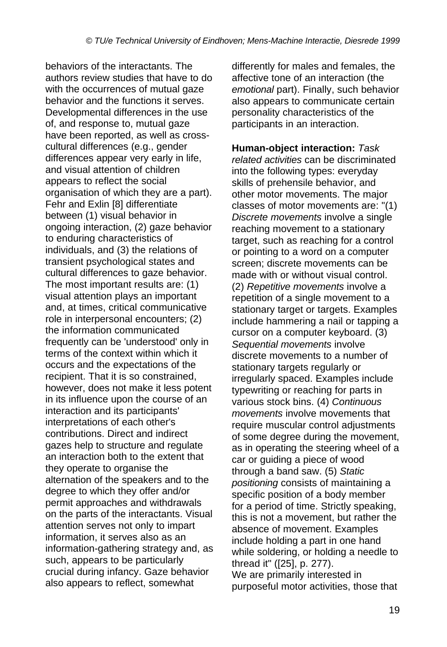behaviors of the interactants. The authors review studies that have to do with the occurrences of mutual gaze behavior and the functions it serves. Developmental differences in the use of, and response to, mutual gaze have been reported, as well as crosscultural differences (e.g., gender differences appear very early in life, and visual attention of children appears to reflect the social organisation of which they are a part). Fehr and Exlin [8] differentiate between (1) visual behavior in ongoing interaction, (2) gaze behavior to enduring characteristics of individuals, and (3) the relations of transient psychological states and cultural differences to gaze behavior. The most important results are: (1) visual attention plays an important and, at times, critical communicative role in interpersonal encounters; (2) the information communicated frequently can be 'understood' only in terms of the context within which it occurs and the expectations of the recipient. That it is so constrained, however, does not make it less potent in its influence upon the course of an interaction and its participants' interpretations of each other's contributions. Direct and indirect gazes help to structure and regulate an interaction both to the extent that they operate to organise the alternation of the speakers and to the degree to which they offer and/or permit approaches and withdrawals on the parts of the interactants. Visual attention serves not only to impart information, it serves also as an information-gathering strategy and, as such, appears to be particularly crucial during infancy. Gaze behavior also appears to reflect, somewhat

differently for males and females, the affective tone of an interaction (the *emotional* part). Finally, such behavior also appears to communicate certain personality characteristics of the participants in an interaction.

**Human-object interaction:** *Task related activities* can be discriminated into the following types: everyday skills of prehensile behavior, and other motor movements. The major classes of motor movements are: "(1) *Discrete movements* involve a single reaching movement to a stationary target, such as reaching for a control or pointing to a word on a computer screen; discrete movements can be made with or without visual control. (2) *Repetitive movements* involve a repetition of a single movement to a stationary target or targets. Examples include hammering a nail or tapping a cursor on a computer keyboard. (3) *Sequential movements* involve discrete movements to a number of stationary targets regularly or irregularly spaced. Examples include typewriting or reaching for parts in various stock bins. (4) *Continuous movements* involve movements that require muscular control adjustments of some degree during the movement, as in operating the steering wheel of a car or guiding a piece of wood through a band saw. (5) *Static positioning* consists of maintaining a specific position of a body member for a period of time. Strictly speaking, this is not a movement, but rather the absence of movement. Examples include holding a part in one hand while soldering, or holding a needle to thread it" ([25], p. 277). We are primarily interested in purposeful motor activities, those that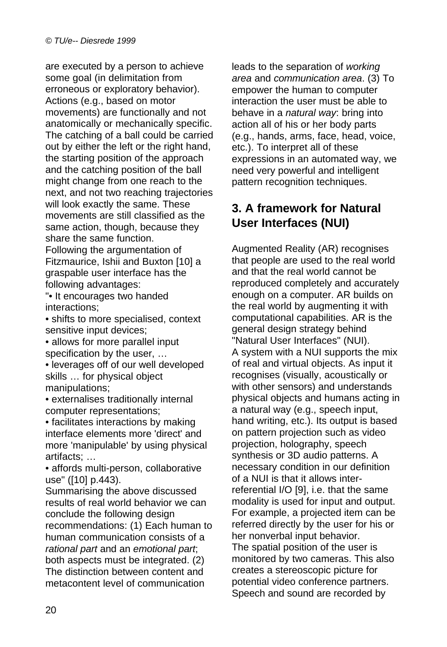are executed by a person to achieve some goal (in delimitation from erroneous or exploratory behavior). Actions (e.g., based on motor movements) are functionally and not anatomically or mechanically specific. The catching of a ball could be carried out by either the left or the right hand, the starting position of the approach and the catching position of the ball might change from one reach to the next, and not two reaching trajectories will look exactly the same. These movements are still classified as the same action, though, because they share the same function.

Following the argumentation of Fitzmaurice, Ishii and Buxton [10] a graspable user interface has the following advantages:

"• It encourages two handed interactions;

• shifts to more specialised, context sensitive input devices;

• allows for more parallel input specification by the user, …

• leverages off of our well developed skills … for physical object manipulations;

• externalises traditionally internal computer representations;

• facilitates interactions by making interface elements more 'direct' and more 'manipulable' by using physical artifacts; …

• affords multi-person, collaborative use" ([10] p.443).

Summarising the above discussed results of real world behavior we can conclude the following design recommendations: (1) Each human to human communication consists of a *rational part* and an *emotional part*; both aspects must be integrated. (2) The distinction between content and metacontent level of communication

leads to the separation of *working area* and *communication area*. (3) To empower the human to computer interaction the user must be able to behave in a *natural way*: bring into action all of his or her body parts (e.g., hands, arms, face, head, voice, etc.). To interpret all of these expressions in an automated way, we need very powerful and intelligent pattern recognition techniques.

#### **3. A framework for Natural User Interfaces (NUI)**

Augmented Reality (AR) recognises that people are used to the real world and that the real world cannot be reproduced completely and accurately enough on a computer. AR builds on the real world by augmenting it with computational capabilities. AR is the general design strategy behind "Natural User Interfaces" (NUI). A system with a NUI supports the mix of real and virtual objects. As input it recognises (visually, acoustically or with other sensors) and understands physical objects and humans acting in a natural way (e.g., speech input, hand writing, etc.). Its output is based on pattern projection such as video projection, holography, speech synthesis or 3D audio patterns. A necessary condition in our definition of a NUI is that it allows interreferential I/O [9], i.e. that the same modality is used for input and output. For example, a projected item can be referred directly by the user for his or her nonverbal input behavior. The spatial position of the user is monitored by two cameras. This also creates a stereoscopic picture for potential video conference partners. Speech and sound are recorded by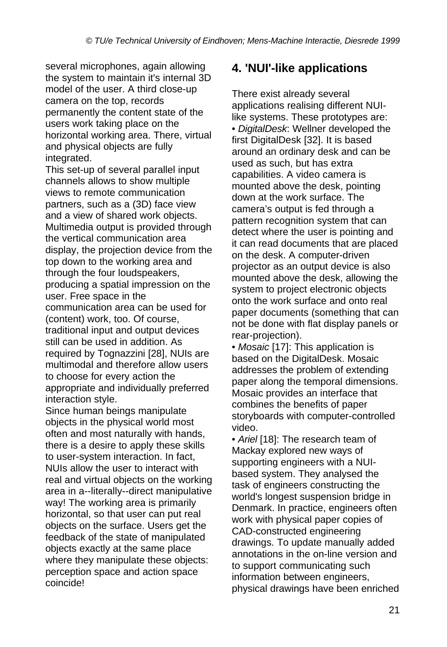several microphones, again allowing the system to maintain it's internal 3D model of the user. A third close-up camera on the top, records permanently the content state of the users work taking place on the horizontal working area. There, virtual and physical objects are fully integrated.

This set-up of several parallel input channels allows to show multiple views to remote communication partners, such as a (3D) face view and a view of shared work objects. Multimedia output is provided through the vertical communication area display, the projection device from the top down to the working area and through the four loudspeakers, producing a spatial impression on the user. Free space in the communication area can be used for (content) work, too. Of course, traditional input and output devices still can be used in addition. As required by Tognazzini [28], NUIs are multimodal and therefore allow users to choose for every action the appropriate and individually preferred interaction style.

Since human beings manipulate objects in the physical world most often and most naturally with hands, there is a desire to apply these skills to user-system interaction. In fact, NUIs allow the user to interact with real and virtual objects on the working area in a--literally--direct manipulative way! The working area is primarily horizontal, so that user can put real objects on the surface. Users get the feedback of the state of manipulated objects exactly at the same place where they manipulate these objects: perception space and action space coincide!

#### **4. 'NUI'-like applications**

There exist already several applications realising different NUIlike systems. These prototypes are: • *DigitalDesk*: Wellner developed the first DigitalDesk [32]. It is based around an ordinary desk and can be used as such, but has extra capabilities. A video camera is mounted above the desk, pointing down at the work surface. The camera's output is fed through a pattern recognition system that can detect where the user is pointing and it can read documents that are placed on the desk. A computer-driven projector as an output device is also mounted above the desk, allowing the system to project electronic objects onto the work surface and onto real paper documents (something that can not be done with flat display panels or rear-projection).

• *Mosaic* [17]: This application is based on the DigitalDesk. Mosaic addresses the problem of extending paper along the temporal dimensions. Mosaic provides an interface that combines the benefits of paper storyboards with computer-controlled video.

• *Ariel* [18]: The research team of Mackay explored new ways of supporting engineers with a NUIbased system. They analysed the task of engineers constructing the world's longest suspension bridge in Denmark. In practice, engineers often work with physical paper copies of CAD-constructed engineering drawings. To update manually added annotations in the on-line version and to support communicating such information between engineers, physical drawings have been enriched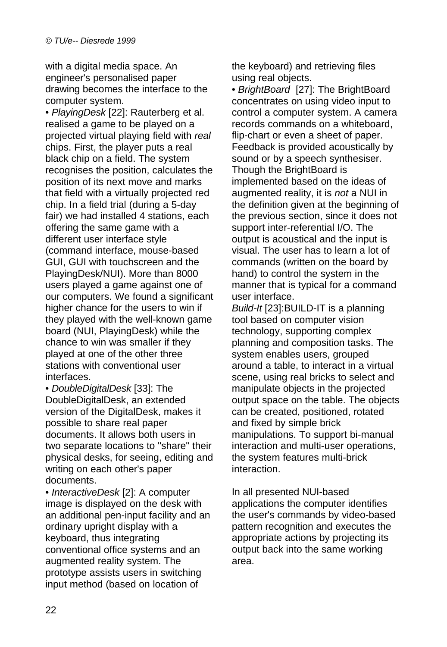with a digital media space. An engineer's personalised paper drawing becomes the interface to the computer system.

• *PlayingDesk* [22]: Rauterberg et al. realised a game to be played on a projected virtual playing field with *real* chips. First, the player puts a real black chip on a field. The system recognises the position, calculates the position of its next move and marks that field with a virtually projected red chip. In a field trial (during a 5-day fair) we had installed 4 stations, each offering the same game with a different user interface style (command interface, mouse-based GUI, GUI with touchscreen and the PlayingDesk/NUI). More than 8000 users played a game against one of our computers. We found a significant higher chance for the users to win if they played with the well-known game board (NUI, PlayingDesk) while the chance to win was smaller if they played at one of the other three stations with conventional user interfaces.

• *DoubleDigitalDesk* [33]: The DoubleDigitalDesk, an extended version of the DigitalDesk, makes it possible to share real paper documents. It allows both users in two separate locations to "share" their physical desks, for seeing, editing and writing on each other's paper documents.

• *InteractiveDesk* [2]: A computer image is displayed on the desk with an additional pen-input facility and an ordinary upright display with a keyboard, thus integrating conventional office systems and an augmented reality system. The prototype assists users in switching input method (based on location of

the keyboard) and retrieving files using real objects.

• *BrightBoard* [27]: The BrightBoard concentrates on using video input to control a computer system. A camera records commands on a whiteboard, flip-chart or even a sheet of paper. Feedback is provided acoustically by sound or by a speech synthesiser. Though the BrightBoard is implemented based on the ideas of augmented reality, it is *not* a NUI in the definition given at the beginning of the previous section, since it does not support inter-referential I/O. The output is acoustical and the input is visual. The user has to learn a lot of commands (written on the board by hand) to control the system in the manner that is typical for a command user interface.

*Build-It* [23]:BUILD-IT is a planning tool based on computer vision technology, supporting complex planning and composition tasks. The system enables users, grouped around a table, to interact in a virtual scene, using real bricks to select and manipulate objects in the projected output space on the table. The objects can be created, positioned, rotated and fixed by simple brick manipulations. To support bi-manual interaction and multi-user operations, the system features multi-brick interaction.

In all presented NUI-based applications the computer identifies the user's commands by video-based pattern recognition and executes the appropriate actions by projecting its output back into the same working area.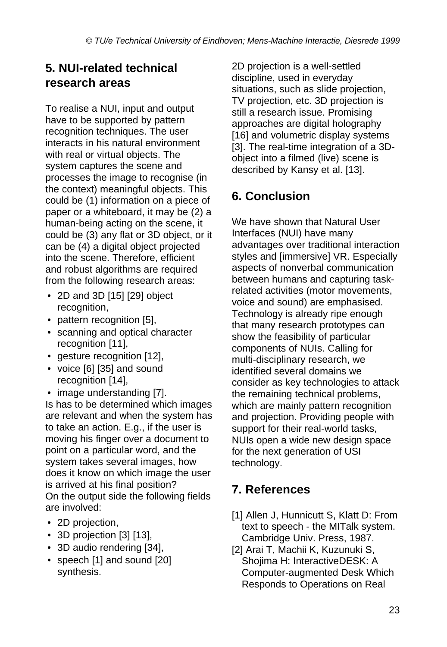### **5. NUI-related technical research areas**

To realise a NUI, input and output have to be supported by pattern recognition techniques. The user interacts in his natural environment with real or virtual objects. The system captures the scene and processes the image to recognise (in the context) meaningful objects. This could be (1) information on a piece of paper or a whiteboard, it may be (2) a human-being acting on the scene, it could be (3) any flat or 3D object, or it can be (4) a digital object projected into the scene. Therefore, efficient and robust algorithms are required from the following research areas:

- 2D and 3D [15] [29] object recognition,
- pattern recognition [5],
- scanning and optical character recognition [11],
- gesture recognition [12],
- voice [6] [35] and sound recognition [14],
- image understanding [7].

Is has to be determined which images are relevant and when the system has to take an action. E.g., if the user is moving his finger over a document to point on a particular word, and the system takes several images, how does it know on which image the user is arrived at his final position? On the output side the following fields are involved:

- 2D projection,
- 3D projection [3] [13],
- 3D audio rendering [34],
- speech [1] and sound [20] synthesis.

2D projection is a well-settled discipline, used in everyday situations, such as slide projection, TV projection, etc. 3D projection is still a research issue. Promising approaches are digital holography [16] and volumetric display systems [3]. The real-time integration of a 3Dobject into a filmed (live) scene is described by Kansy et al. [13].

## **6. Conclusion**

We have shown that Natural User Interfaces (NUI) have many advantages over traditional interaction styles and [immersive] VR. Especially aspects of nonverbal communication between humans and capturing taskrelated activities (motor movements, voice and sound) are emphasised. Technology is already ripe enough that many research prototypes can show the feasibility of particular components of NUIs. Calling for multi-disciplinary research, we identified several domains we consider as key technologies to attack the remaining technical problems, which are mainly pattern recognition and projection. Providing people with support for their real-world tasks, NUIs open a wide new design space for the next generation of USI technology.

## **7. References**

- [1] Allen J, Hunnicutt S, Klatt D: From text to speech - the MITalk system. Cambridge Univ. Press, 1987.
- [2] Arai T, Machii K, Kuzunuki S, Shojima H: InteractiveDESK: A Computer-augmented Desk Which Responds to Operations on Real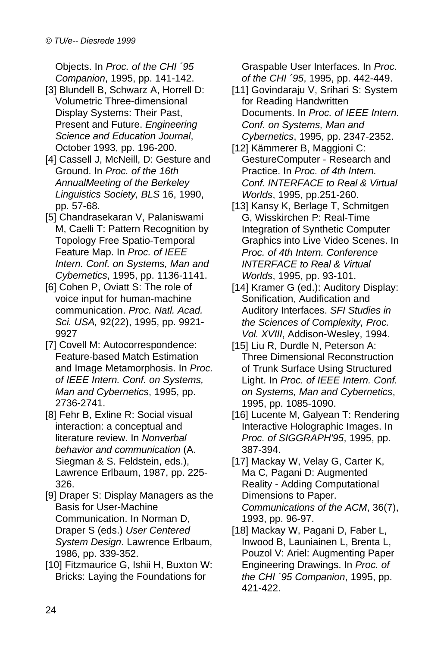Objects. In *Proc. of the CHI ´95 Companion*, 1995, pp. 141-142.

- [3] Blundell B, Schwarz A, Horrell D; Volumetric Three-dimensional Display Systems: Their Past, Present and Future. *Engineering Science and Education Journal*, October 1993, pp. 196-200.
- [4] Cassell J, McNeill, D: Gesture and Ground. In *Proc. of the 16th AnnualMeeting of the Berkeley Linguistics Society, BLS* 16, 1990, pp. 57-68.
- [5] Chandrasekaran V, Palaniswami M, Caelli T: Pattern Recognition by Topology Free Spatio-Temporal Feature Map. In *Proc. of IEEE Intern. Conf. on Systems, Man and Cybernetics*, 1995, pp. 1136-1141.
- [6] Cohen P, Oviatt S: The role of voice input for human-machine communication. *Proc. Natl. Acad. Sci. USA,* 92(22), 1995, pp. 9921- 9927
- [7] Covell M: Autocorrespondence: Feature-based Match Estimation and Image Metamorphosis. In *Proc. of IEEE Intern. Conf. on Systems, Man and Cybernetics*, 1995, pp. 2736-2741.
- [8] Fehr B, Exline R: Social visual interaction: a conceptual and literature review. In *Nonverbal behavior and communication* (A. Siegman & S. Feldstein, eds.), Lawrence Erlbaum, 1987, pp. 225- 326.
- [9] Draper S: Display Managers as the Basis for User-Machine Communication. In Norman D, Draper S (eds.) *User Centered System Design*. Lawrence Erlbaum, 1986, pp. 339-352.
- [10] Fitzmaurice G, Ishii H, Buxton W: Bricks: Laying the Foundations for

Graspable User Interfaces. In *Proc. of the CHI ´95*, 1995, pp. 442-449.

- [11] Govindaraju V, Srihari S: System for Reading Handwritten Documents. In *Proc. of IEEE Intern. Conf. on Systems, Man and Cybernetics*, 1995, pp. 2347-2352.
- [12] Kämmerer B, Maggioni C: GestureComputer - Research and Practice. In *Proc. of 4th Intern. Conf. INTERFACE to Real & Virtual Worlds*, 1995, pp.251-260.
- [13] Kansy K, Berlage T, Schmitgen G, Wisskirchen P: Real-Time Integration of Synthetic Computer Graphics into Live Video Scenes. In *Proc. of 4th Intern. Conference INTERFACE to Real & Virtual Worlds*, 1995, pp. 93-101.
- [14] Kramer G (ed.): Auditory Display: Sonification, Audification and Auditory Interfaces. *SFI Studies in the Sciences of Complexity, Proc. Vol. XVIII*, Addison-Wesley, 1994.
- [15] Liu R, Durdle N, Peterson A: Three Dimensional Reconstruction of Trunk Surface Using Structured Light. In *Proc. of IEEE Intern. Conf. on Systems, Man and Cybernetics*, 1995, pp. 1085-1090.
- [16] Lucente M, Galyean T: Rendering Interactive Holographic Images. In *Proc. of SIGGRAPH'95*, 1995, pp. 387-394.
- [17] Mackay W, Velay G, Carter K, Ma C, Pagani D: Augmented Reality - Adding Computational Dimensions to Paper. *Communications of the ACM*, 36(7), 1993, pp. 96-97.
- [18] Mackay W, Pagani D, Faber L, Inwood B, Launiainen L, Brenta L, Pouzol V: Ariel: Augmenting Paper Engineering Drawings. In *Proc. of the CHI ´95 Companion*, 1995, pp. 421-422.